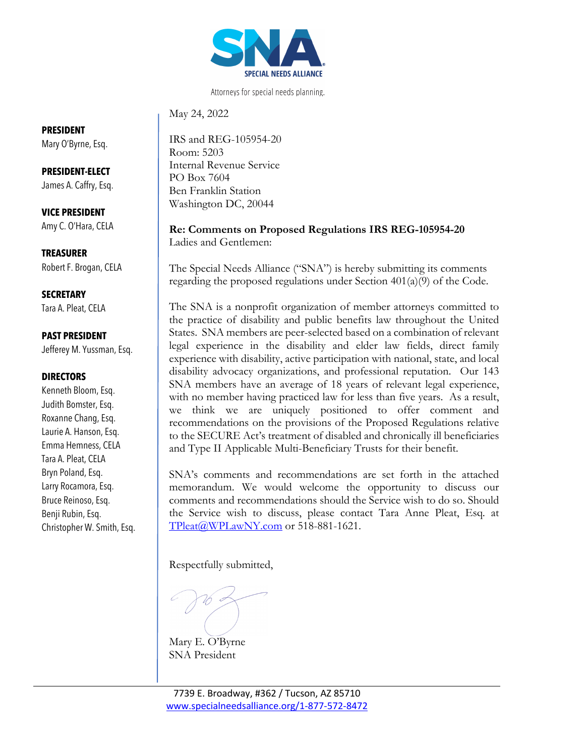

Attorneys for special needs planning.

May 24, 2022

IRS and REG-105954-20 Room: 5203 Internal Revenue Service PO Box 7604 Ben Franklin Station Washington DC, 20044

**Re: Comments on Proposed Regulations IRS REG-105954-20**  Ladies and Gentlemen:

The Special Needs Alliance ("SNA") is hereby submitting its comments regarding the proposed regulations under Section 401(a)(9) of the Code.

The SNA is a nonprofit organization of member attorneys committed to the practice of disability and public benefits law throughout the United States. SNA members are peer-selected based on a combination of relevant legal experience in the disability and elder law fields, direct family experience with disability, active participation with national, state, and local disability advocacy organizations, and professional reputation. Our 143 SNA members have an average of 18 years of relevant legal experience, with no member having practiced law for less than five years. As a result, we think we are uniquely positioned to offer comment and recommendations on the provisions of the Proposed Regulations relative to the SECURE Act's treatment of disabled and chronically ill beneficiaries and Type II Applicable Multi-Beneficiary Trusts for their benefit.

SNA's comments and recommendations are set forth in the attached memorandum. We would welcome the opportunity to discuss our comments and recommendations should the Service wish to do so. Should the Service wish to discuss, please contact Tara Anne Pleat, Esq. at TPleat@WPLawNY.com or 518-881-1621.

Respectfully submitted,

Mary E. O'Byrne SNA President

### **PRESIDENT**

Mary O'Byrne, Esq.

**PRESIDENT-ELECT** James A. Caffry, Esq.

**VICE PRESIDENT** Amy C. O'Hara, CELA

**TREASURER** Robert F. Brogan, CELA

**SECRETARY** Tara A. Pleat, CELA

### **PAST PRESIDENT**

Jefferey M. Yussman, Esq.

#### **DIRECTORS**

Kenneth Bloom, Esq. Judith Bomster, Esq. Roxanne Chang, Esq. Laurie A. Hanson, Esq. Emma Hemness, CELA Tara A. Pleat, CELA Bryn Poland, Esq. Larry Rocamora, Esq. Bruce Reinoso, Esq. Benji Rubin, Esq. Christopher W. Smith, Esq.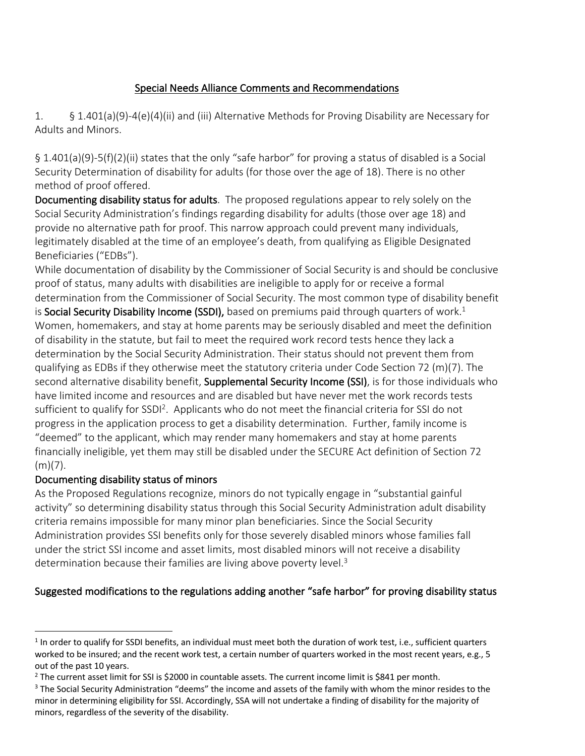# Special Needs Alliance Comments and Recommendations

1. § 1.401(a)(9)-4(e)(4)(ii) and (iii) Alternative Methods for Proving Disability are Necessary for Adults and Minors.

§ 1.401(a)(9)-5(f)(2)(ii) states that the only "safe harbor" for proving a status of disabled is a Social Security Determination of disability for adults (for those over the age of 18). There is no other method of proof offered.

Documenting disability status for adults. The proposed regulations appear to rely solely on the Social Security Administration's findings regarding disability for adults (those over age 18) and provide no alternative path for proof. This narrow approach could prevent many individuals, legitimately disabled at the time of an employee's death, from qualifying as Eligible Designated Beneficiaries ("EDBs").

While documentation of disability by the Commissioner of Social Security is and should be conclusive proof of status, many adults with disabilities are ineligible to apply for or receive a formal determination from the Commissioner of Social Security. The most common type of disability benefit is Social Security Disability Income (SSDI), based on premiums paid through quarters of work.<sup>1</sup> Women, homemakers, and stay at home parents may be seriously disabled and meet the definition of disability in the statute, but fail to meet the required work record tests hence they lack a determination by the Social Security Administration. Their status should not prevent them from qualifying as EDBs if they otherwise meet the statutory criteria under Code Section 72 (m)(7). The second alternative disability benefit, **Supplemental Security Income (SSI)**, is for those individuals who have limited income and resources and are disabled but have never met the work records tests sufficient to qualify for SSDI<sup>2</sup>. Applicants who do not meet the financial criteria for SSI do not progress in the application process to get a disability determination. Further, family income is "deemed" to the applicant, which may render many homemakers and stay at home parents financially ineligible, yet them may still be disabled under the SECURE Act definition of Section 72  $(m)(7)$ .

## Documenting disability status of minors

As the Proposed Regulations recognize, minors do not typically engage in "substantial gainful activity" so determining disability status through this Social Security Administration adult disability criteria remains impossible for many minor plan beneficiaries. Since the Social Security Administration provides SSI benefits only for those severely disabled minors whose families fall under the strict SSI income and asset limits, most disabled minors will not receive a disability determination because their families are living above poverty level.<sup>3</sup>

# Suggested modifications to the regulations adding another "safe harbor" for proving disability status

 $1$  In order to qualify for SSDI benefits, an individual must meet both the duration of work test, i.e., sufficient quarters worked to be insured; and the recent work test, a certain number of quarters worked in the most recent years, e.g., 5 out of the past 10 years.

<sup>&</sup>lt;sup>2</sup> The current asset limit for SSI is \$2000 in countable assets. The current income limit is \$841 per month.

<sup>&</sup>lt;sup>3</sup> The Social Security Administration "deems" the income and assets of the family with whom the minor resides to the minor in determining eligibility for SSI. Accordingly, SSA will not undertake a finding of disability for the majority of minors, regardless of the severity of the disability.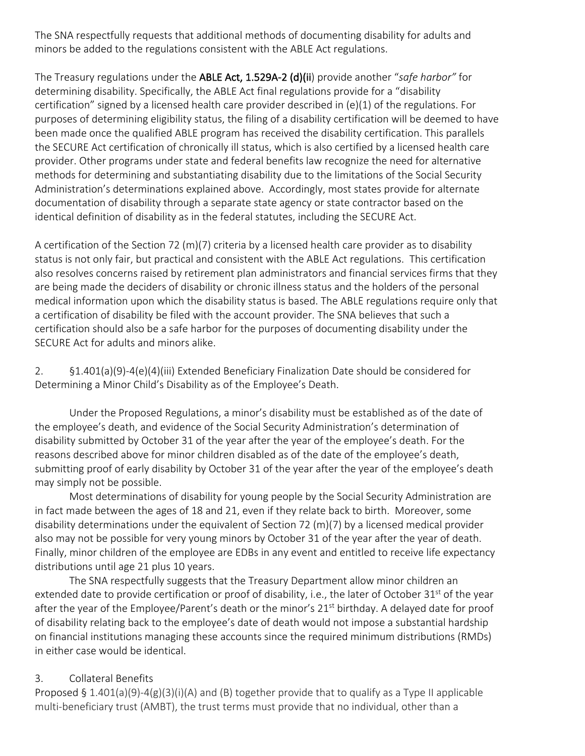The SNA respectfully requests that additional methods of documenting disability for adults and minors be added to the regulations consistent with the ABLE Act regulations.

The Treasury regulations under the ABLE Act, 1.529A-2 (d)(ii) provide another "*safe harbor"* for determining disability. Specifically, the ABLE Act final regulations provide for a "disability certification" signed by a licensed health care provider described in (e)(1) of the regulations. For purposes of determining eligibility status, the filing of a disability certification will be deemed to have been made once the qualified ABLE program has received the disability certification. This parallels the SECURE Act certification of chronically ill status, which is also certified by a licensed health care provider. Other programs under state and federal benefits law recognize the need for alternative methods for determining and substantiating disability due to the limitations of the Social Security Administration's determinations explained above. Accordingly, most states provide for alternate documentation of disability through a separate state agency or state contractor based on the identical definition of disability as in the federal statutes, including the SECURE Act.

A certification of the Section 72 (m)(7) criteria by a licensed health care provider as to disability status is not only fair, but practical and consistent with the ABLE Act regulations. This certification also resolves concerns raised by retirement plan administrators and financial services firms that they are being made the deciders of disability or chronic illness status and the holders of the personal medical information upon which the disability status is based. The ABLE regulations require only that a certification of disability be filed with the account provider. The SNA believes that such a certification should also be a safe harbor for the purposes of documenting disability under the SECURE Act for adults and minors alike.

2. §1.401(a)(9)-4(e)(4)(iii) Extended Beneficiary Finalization Date should be considered for Determining a Minor Child's Disability as of the Employee's Death.

Under the Proposed Regulations, a minor's disability must be established as of the date of the employee's death, and evidence of the Social Security Administration's determination of disability submitted by October 31 of the year after the year of the employee's death. For the reasons described above for minor children disabled as of the date of the employee's death, submitting proof of early disability by October 31 of the year after the year of the employee's death may simply not be possible.

Most determinations of disability for young people by the Social Security Administration are in fact made between the ages of 18 and 21, even if they relate back to birth. Moreover, some disability determinations under the equivalent of Section 72 (m)(7) by a licensed medical provider also may not be possible for very young minors by October 31 of the year after the year of death. Finally, minor children of the employee are EDBs in any event and entitled to receive life expectancy distributions until age 21 plus 10 years.

The SNA respectfully suggests that the Treasury Department allow minor children an extended date to provide certification or proof of disability, i.e., the later of October 31<sup>st</sup> of the year after the year of the Employee/Parent's death or the minor's 21<sup>st</sup> birthday. A delayed date for proof of disability relating back to the employee's date of death would not impose a substantial hardship on financial institutions managing these accounts since the required minimum distributions (RMDs) in either case would be identical.

## 3. Collateral Benefits

Proposed § 1.401(a)(9)-4(g)(3)(i)(A) and (B) together provide that to qualify as a Type II applicable multi-beneficiary trust (AMBT), the trust terms must provide that no individual, other than a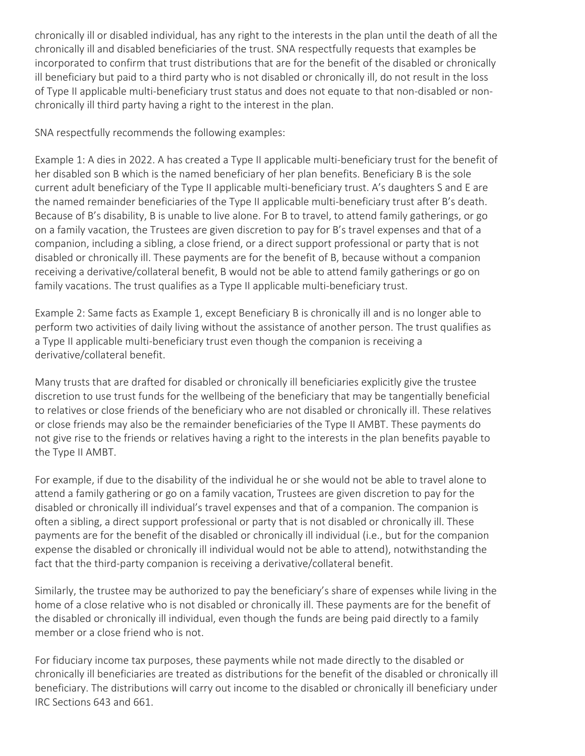chronically ill or disabled individual, has any right to the interests in the plan until the death of all the chronically ill and disabled beneficiaries of the trust. SNA respectfully requests that examples be incorporated to confirm that trust distributions that are for the benefit of the disabled or chronically ill beneficiary but paid to a third party who is not disabled or chronically ill, do not result in the loss of Type II applicable multi-beneficiary trust status and does not equate to that non-disabled or nonchronically ill third party having a right to the interest in the plan.

SNA respectfully recommends the following examples:

Example 1: A dies in 2022. A has created a Type II applicable multi-beneficiary trust for the benefit of her disabled son B which is the named beneficiary of her plan benefits. Beneficiary B is the sole current adult beneficiary of the Type II applicable multi-beneficiary trust. A's daughters S and E are the named remainder beneficiaries of the Type II applicable multi-beneficiary trust after B's death. Because of B's disability, B is unable to live alone. For B to travel, to attend family gatherings, or go on a family vacation, the Trustees are given discretion to pay for B's travel expenses and that of a companion, including a sibling, a close friend, or a direct support professional or party that is not disabled or chronically ill. These payments are for the benefit of B, because without a companion receiving a derivative/collateral benefit, B would not be able to attend family gatherings or go on family vacations. The trust qualifies as a Type II applicable multi-beneficiary trust.

Example 2: Same facts as Example 1, except Beneficiary B is chronically ill and is no longer able to perform two activities of daily living without the assistance of another person. The trust qualifies as a Type II applicable multi-beneficiary trust even though the companion is receiving a derivative/collateral benefit.

Many trusts that are drafted for disabled or chronically ill beneficiaries explicitly give the trustee discretion to use trust funds for the wellbeing of the beneficiary that may be tangentially beneficial to relatives or close friends of the beneficiary who are not disabled or chronically ill. These relatives or close friends may also be the remainder beneficiaries of the Type II AMBT. These payments do not give rise to the friends or relatives having a right to the interests in the plan benefits payable to the Type II AMBT.

For example, if due to the disability of the individual he or she would not be able to travel alone to attend a family gathering or go on a family vacation, Trustees are given discretion to pay for the disabled or chronically ill individual's travel expenses and that of a companion. The companion is often a sibling, a direct support professional or party that is not disabled or chronically ill. These payments are for the benefit of the disabled or chronically ill individual (i.e., but for the companion expense the disabled or chronically ill individual would not be able to attend), notwithstanding the fact that the third-party companion is receiving a derivative/collateral benefit.

Similarly, the trustee may be authorized to pay the beneficiary's share of expenses while living in the home of a close relative who is not disabled or chronically ill. These payments are for the benefit of the disabled or chronically ill individual, even though the funds are being paid directly to a family member or a close friend who is not.

For fiduciary income tax purposes, these payments while not made directly to the disabled or chronically ill beneficiaries are treated as distributions for the benefit of the disabled or chronically ill beneficiary. The distributions will carry out income to the disabled or chronically ill beneficiary under IRC Sections 643 and 661.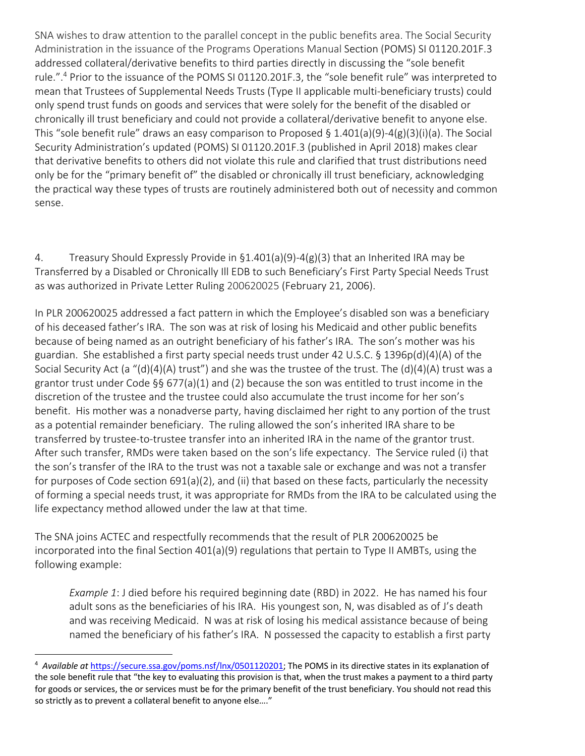SNA wishes to draw attention to the parallel concept in the public benefits area. The Social Security Administration in the issuance of the Programs Operations Manual Section (POMS) SI 01120.201F.3 addressed collateral/derivative benefits to third parties directly in discussing the "sole benefit rule.".4 Prior to the issuance of the POMS SI 01120.201F.3, the "sole benefit rule" was interpreted to mean that Trustees of Supplemental Needs Trusts (Type II applicable multi-beneficiary trusts) could only spend trust funds on goods and services that were solely for the benefit of the disabled or chronically ill trust beneficiary and could not provide a collateral/derivative benefit to anyone else. This "sole benefit rule" draws an easy comparison to Proposed § 1.401(a)(9)-4(g)(3)(i)(a). The Social Security Administration's updated (POMS) SI 01120.201F.3 (published in April 2018) makes clear that derivative benefits to others did not violate this rule and clarified that trust distributions need only be for the "primary benefit of" the disabled or chronically ill trust beneficiary, acknowledging the practical way these types of trusts are routinely administered both out of necessity and common sense.

4. Treasury Should Expressly Provide in §1.401(a)(9)-4(g)(3) that an Inherited IRA may be Transferred by a Disabled or Chronically Ill EDB to such Beneficiary's First Party Special Needs Trust as was authorized in Private Letter Ruling 200620025 (February 21, 2006).

In PLR 200620025 addressed a fact pattern in which the Employee's disabled son was a beneficiary of his deceased father's IRA. The son was at risk of losing his Medicaid and other public benefits because of being named as an outright beneficiary of his father's IRA. The son's mother was his guardian. She established a first party special needs trust under 42 U.S.C. § 1396p(d)(4)(A) of the Social Security Act (a "(d)(4)(A) trust") and she was the trustee of the trust. The (d)(4)(A) trust was a grantor trust under Code §§ 677(a)(1) and (2) because the son was entitled to trust income in the discretion of the trustee and the trustee could also accumulate the trust income for her son's benefit. His mother was a nonadverse party, having disclaimed her right to any portion of the trust as a potential remainder beneficiary. The ruling allowed the son's inherited IRA share to be transferred by trustee-to-trustee transfer into an inherited IRA in the name of the grantor trust. After such transfer, RMDs were taken based on the son's life expectancy. The Service ruled (i) that the son's transfer of the IRA to the trust was not a taxable sale or exchange and was not a transfer for purposes of Code section 691(a)(2), and (ii) that based on these facts, particularly the necessity of forming a special needs trust, it was appropriate for RMDs from the IRA to be calculated using the life expectancy method allowed under the law at that time.

The SNA joins ACTEC and respectfully recommends that the result of PLR 200620025 be incorporated into the final Section 401(a)(9) regulations that pertain to Type II AMBTs, using the following example:

*Example 1*: J died before his required beginning date (RBD) in 2022. He has named his four adult sons as the beneficiaries of his IRA. His youngest son, N, was disabled as of J's death and was receiving Medicaid. N was at risk of losing his medical assistance because of being named the beneficiary of his father's IRA. N possessed the capacity to establish a first party

<sup>&</sup>lt;sup>4</sup> Available at https://secure.ssa.gov/poms.nsf/lnx/0501120201; The POMS in its directive states in its explanation of the sole benefit rule that "the key to evaluating this provision is that, when the trust makes a payment to a third party for goods or services, the or services must be for the primary benefit of the trust beneficiary. You should not read this so strictly as to prevent a collateral benefit to anyone else…."